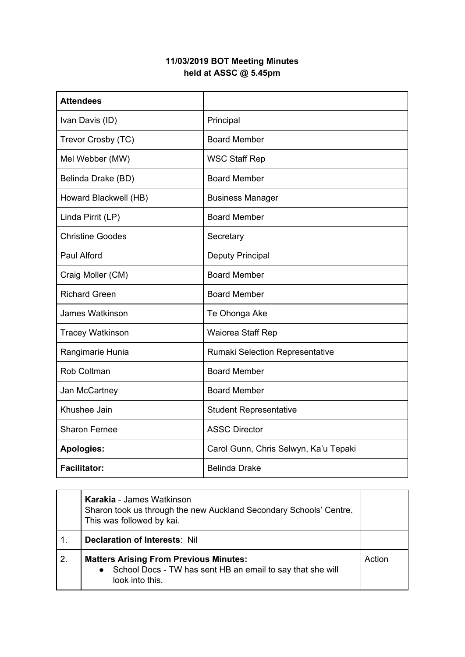## **11/03/2019 BOT Meeting Minutes held at ASSC @ 5.45pm**

| <b>Attendees</b>        |                                       |
|-------------------------|---------------------------------------|
| Ivan Davis (ID)         | Principal                             |
| Trevor Crosby (TC)      | <b>Board Member</b>                   |
| Mel Webber (MW)         | <b>WSC Staff Rep</b>                  |
| Belinda Drake (BD)      | <b>Board Member</b>                   |
| Howard Blackwell (HB)   | <b>Business Manager</b>               |
| Linda Pirrit (LP)       | <b>Board Member</b>                   |
| <b>Christine Goodes</b> | Secretary                             |
| Paul Alford             | <b>Deputy Principal</b>               |
| Craig Moller (CM)       | <b>Board Member</b>                   |
| <b>Richard Green</b>    | <b>Board Member</b>                   |
| <b>James Watkinson</b>  | Te Ohonga Ake                         |
| <b>Tracey Watkinson</b> | Waiorea Staff Rep                     |
| Rangimarie Hunia        | Rumaki Selection Representative       |
| <b>Rob Coltman</b>      | <b>Board Member</b>                   |
| Jan McCartney           | <b>Board Member</b>                   |
| Khushee Jain            | <b>Student Representative</b>         |
| <b>Sharon Fernee</b>    | <b>ASSC Director</b>                  |
| <b>Apologies:</b>       | Carol Gunn, Chris Selwyn, Ka'u Tepaki |
| <b>Facilitator:</b>     | <b>Belinda Drake</b>                  |

|    | <b>Karakia - James Watkinson</b><br>Sharon took us through the new Auckland Secondary Schools' Centre.<br>This was followed by kai.         |        |
|----|---------------------------------------------------------------------------------------------------------------------------------------------|--------|
| 1. | <b>Declaration of Interests: Nill</b>                                                                                                       |        |
| 2. | <b>Matters Arising From Previous Minutes:</b><br>School Docs - TW has sent HB an email to say that she will<br>$\bullet$<br>look into this. | Action |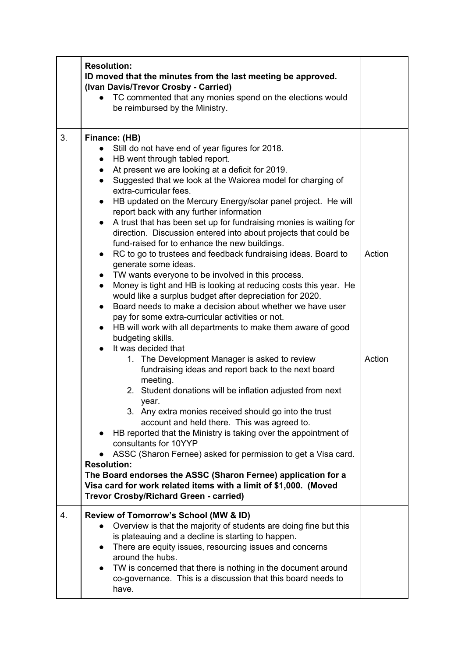|    | <b>Resolution:</b><br>ID moved that the minutes from the last meeting be approved.<br>(Ivan Davis/Trevor Crosby - Carried)<br>TC commented that any monies spend on the elections would<br>be reimbursed by the Ministry.                                                                                                                                                                                                                                                                                                                                                                                                                                                                                                                                                                                                                                                                                                                                                                                                                                                                                                                                                                                                                                                                                                                                                                                                                                                                                                                                                                                                                                                                                                                                                                                                                                        |                  |
|----|------------------------------------------------------------------------------------------------------------------------------------------------------------------------------------------------------------------------------------------------------------------------------------------------------------------------------------------------------------------------------------------------------------------------------------------------------------------------------------------------------------------------------------------------------------------------------------------------------------------------------------------------------------------------------------------------------------------------------------------------------------------------------------------------------------------------------------------------------------------------------------------------------------------------------------------------------------------------------------------------------------------------------------------------------------------------------------------------------------------------------------------------------------------------------------------------------------------------------------------------------------------------------------------------------------------------------------------------------------------------------------------------------------------------------------------------------------------------------------------------------------------------------------------------------------------------------------------------------------------------------------------------------------------------------------------------------------------------------------------------------------------------------------------------------------------------------------------------------------------|------------------|
|    |                                                                                                                                                                                                                                                                                                                                                                                                                                                                                                                                                                                                                                                                                                                                                                                                                                                                                                                                                                                                                                                                                                                                                                                                                                                                                                                                                                                                                                                                                                                                                                                                                                                                                                                                                                                                                                                                  |                  |
| 3. | Finance: (HB)<br>Still do not have end of year figures for 2018.<br>$\bullet$<br>• HB went through tabled report.<br>At present we are looking at a deficit for 2019.<br>$\bullet$<br>Suggested that we look at the Waiorea model for charging of<br>$\bullet$<br>extra-curricular fees.<br>HB updated on the Mercury Energy/solar panel project. He will<br>$\bullet$<br>report back with any further information<br>A trust that has been set up for fundraising monies is waiting for<br>$\bullet$<br>direction. Discussion entered into about projects that could be<br>fund-raised for to enhance the new buildings.<br>RC to go to trustees and feedback fundraising ideas. Board to<br>$\bullet$<br>generate some ideas.<br>• TW wants everyone to be involved in this process.<br>Money is tight and HB is looking at reducing costs this year. He<br>$\bullet$<br>would like a surplus budget after depreciation for 2020.<br>Board needs to make a decision about whether we have user<br>$\bullet$<br>pay for some extra-curricular activities or not.<br>• HB will work with all departments to make them aware of good<br>budgeting skills.<br>It was decided that<br>$\bullet$<br>1. The Development Manager is asked to review<br>fundraising ideas and report back to the next board<br>meeting.<br>2. Student donations will be inflation adjusted from next<br>year.<br>3. Any extra monies received should go into the trust<br>account and held there. This was agreed to.<br>HB reported that the Ministry is taking over the appointment of<br>consultants for 10YYP<br>ASSC (Sharon Fernee) asked for permission to get a Visa card.<br><b>Resolution:</b><br>The Board endorses the ASSC (Sharon Fernee) application for a<br>Visa card for work related items with a limit of \$1,000. (Moved<br>Trevor Crosby/Richard Green - carried) | Action<br>Action |
| 4. | Review of Tomorrow's School (MW & ID)<br>Overview is that the majority of students are doing fine but this<br>is plateauing and a decline is starting to happen.<br>There are equity issues, resourcing issues and concerns<br>around the hubs.<br>TW is concerned that there is nothing in the document around<br>$\bullet$<br>co-governance. This is a discussion that this board needs to<br>have.                                                                                                                                                                                                                                                                                                                                                                                                                                                                                                                                                                                                                                                                                                                                                                                                                                                                                                                                                                                                                                                                                                                                                                                                                                                                                                                                                                                                                                                            |                  |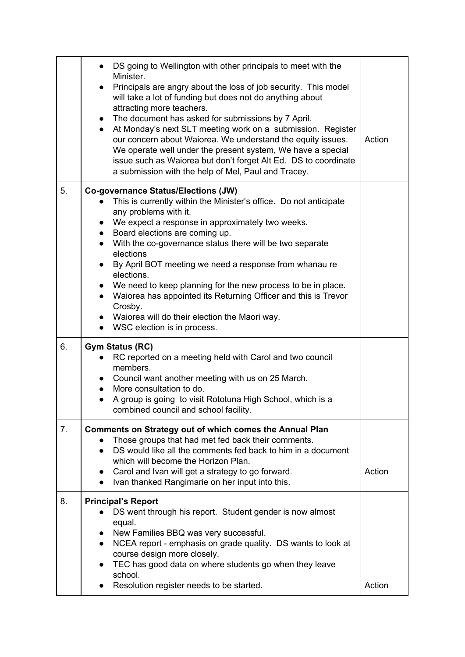|    | DS going to Wellington with other principals to meet with the<br>Minister.<br>Principals are angry about the loss of job security. This model<br>$\bullet$<br>will take a lot of funding but does not do anything about<br>attracting more teachers.<br>The document has asked for submissions by 7 April.<br>$\bullet$<br>At Monday's next SLT meeting work on a submission. Register<br>$\bullet$<br>our concern about Waiorea. We understand the equity issues.<br>We operate well under the present system, We have a special<br>issue such as Waiorea but don't forget Alt Ed. DS to coordinate<br>a submission with the help of Mel, Paul and Tracey. | Action |
|----|-------------------------------------------------------------------------------------------------------------------------------------------------------------------------------------------------------------------------------------------------------------------------------------------------------------------------------------------------------------------------------------------------------------------------------------------------------------------------------------------------------------------------------------------------------------------------------------------------------------------------------------------------------------|--------|
| 5. | <b>Co-governance Status/Elections (JW)</b><br>This is currently within the Minister's office. Do not anticipate<br>any problems with it.<br>We expect a response in approximately two weeks.<br>$\bullet$<br>• Board elections are coming up.<br>With the co-governance status there will be two separate<br>$\bullet$<br>elections<br>By April BOT meeting we need a response from whanau re<br>$\bullet$<br>elections.<br>We need to keep planning for the new process to be in place.<br>Waiorea has appointed its Returning Officer and this is Trevor<br>Crosby.<br>• Waiorea will do their election the Maori way.<br>WSC election is in process.     |        |
| 6. | <b>Gym Status (RC)</b><br>RC reported on a meeting held with Carol and two council<br>$\bullet$<br>members.<br>• Council want another meeting with us on 25 March.<br>More consultation to do.<br>A group is going to visit Rototuna High School, which is a<br>$\bullet$<br>combined council and school facility.                                                                                                                                                                                                                                                                                                                                          |        |
| 7. | Comments on Strategy out of which comes the Annual Plan<br>Those groups that had met fed back their comments.<br>DS would like all the comments fed back to him in a document<br>which will become the Horizon Plan.<br>Carol and Ivan will get a strategy to go forward.<br>Ivan thanked Rangimarie on her input into this.                                                                                                                                                                                                                                                                                                                                | Action |
| 8. | <b>Principal's Report</b><br>DS went through his report. Student gender is now almost<br>equal.<br>New Families BBQ was very successful.<br>$\bullet$<br>NCEA report - emphasis on grade quality. DS wants to look at<br>$\bullet$<br>course design more closely.<br>TEC has good data on where students go when they leave<br>school.<br>Resolution register needs to be started.                                                                                                                                                                                                                                                                          | Action |